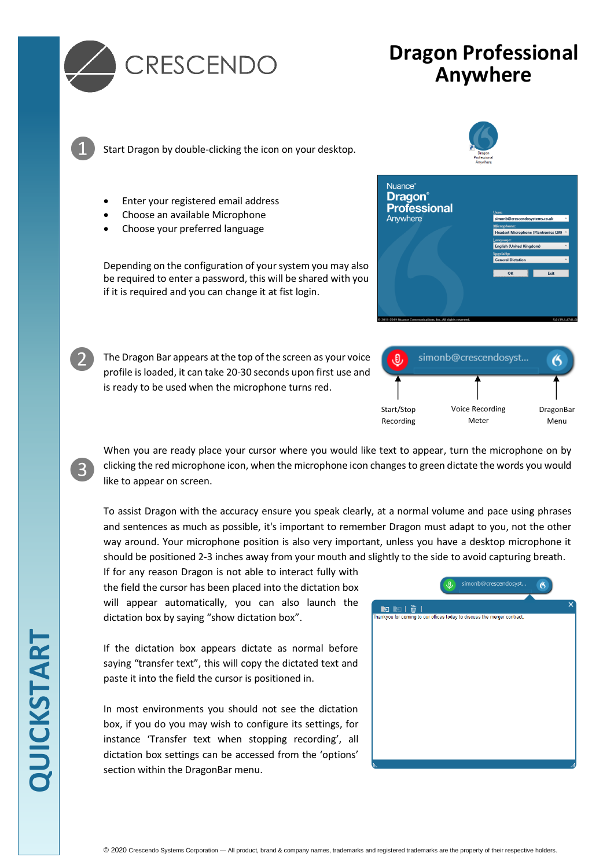

❶

❷

❸

# **Dragon Professional Anywhere**

Start Dragon by double-clicking the icon on your desktop.

- Enter your registered email address
- Choose an available Microphone
- Choose your preferred language

Depending on the configuration of your system you may also be required to enter a password, this will be shared with you if it is required and you can change it at fist login.

The Dragon Bar appears at the top of the screen as your voice profile is loaded, it can take 20-30 seconds upon first use and is ready to be used when the microphone turns red.







When you are ready place your cursor where you would like text to appear, turn the microphone on by clicking the red microphone icon, when the microphone icon changes to green dictate the words you would like to appear on screen.

To assist Dragon with the accuracy ensure you speak clearly, at a normal volume and pace using phrases and sentences as much as possible, it's important to remember Dragon must adapt to you, not the other way around. Your microphone position is also very important, unless you have a desktop microphone it should be positioned 2-3 inches away from your mouth and slightly to the side to avoid capturing breath.

If for any reason Dragon is not able to interact fully with the field the cursor has been placed into the dictation box will appear automatically, you can also launch the dictation box by saying "show dictation box".

If the dictation box appears dictate as normal before saying "transfer text", this will copy the dictated text and paste it into the field the cursor is positioned in.

In most environments you should not see the dictation box, if you do you may wish to configure its settings, for instance 'Transfer text when stopping recording', all dictation box settings can be accessed from the 'options' section within the DragonBar menu.